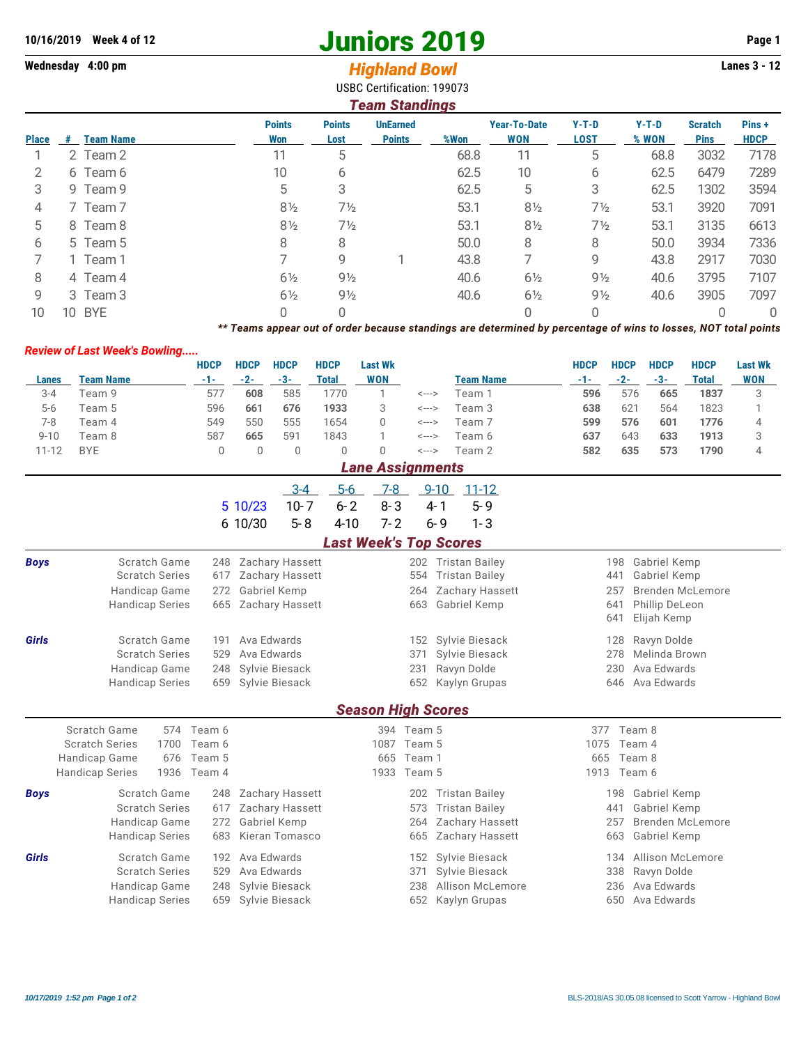# **10/16/2019 Week 4 of 12 Juniors 2019 Page 1**

# **Wednesday 4:00 pm** *Highland Bowl* **Lanes 3 - 12**

USBC Certification: 199073

| <b>Team Standings</b> |    |                  |                      |                       |                                  |      |                                   |                        |                  |                               |                      |
|-----------------------|----|------------------|----------------------|-----------------------|----------------------------------|------|-----------------------------------|------------------------|------------------|-------------------------------|----------------------|
| <b>Place</b>          | #  | <b>Team Name</b> | <b>Points</b><br>Won | <b>Points</b><br>Lost | <b>UnEarned</b><br><b>Points</b> | %Won | <b>Year-To-Date</b><br><b>WON</b> | $Y-T-D$<br><b>LOST</b> | $Y-T-D$<br>% WON | <b>Scratch</b><br><b>Pins</b> | Pins+<br><b>HDCP</b> |
|                       |    | 2 Team 2         | 11                   | 5                     |                                  | 68.8 | 11                                | 5                      | 68.8             | 3032                          | 7178                 |
| 2                     |    | 6 Team 6         | 10                   | 6                     |                                  | 62.5 | 10                                | 6                      | 62.5             | 6479                          | 7289                 |
| 3                     |    | 9 Team 9         | 5                    | 3                     |                                  | 62.5 | 5                                 | 3                      | 62.5             | 1302                          | 3594                 |
| 4                     |    | 7 Team 7         | $8\frac{1}{2}$       | 7½                    |                                  | 53.1 | $8\frac{1}{2}$                    | $7\frac{1}{2}$         | 53.1             | 3920                          | 7091                 |
| 5                     |    | 8 Team 8         | $8\frac{1}{2}$       | $7\frac{1}{2}$        |                                  | 53.1 | $8\frac{1}{2}$                    | $7\frac{1}{2}$         | 53.1             | 3135                          | 6613                 |
| 6                     |    | 5 Team 5         | 8                    | 8                     |                                  | 50.0 | 8                                 | 8                      | 50.0             | 3934                          | 7336                 |
|                       |    | 1 Team 1         |                      | 9                     |                                  | 43.8 |                                   | 9                      | 43.8             | 2917                          | 7030                 |
| 8                     |    | 4 Team 4         | $6\frac{1}{2}$       | $9\frac{1}{2}$        |                                  | 40.6 | $6\frac{1}{2}$                    | $9\frac{1}{2}$         | 40.6             | 3795                          | 7107                 |
| 9                     |    | 3 Team 3         | $6\frac{1}{2}$       | $9\frac{1}{2}$        |                                  | 40.6 | $6\frac{1}{2}$                    | $9\frac{1}{2}$         | 40.6             | 3905                          | 7097                 |
| 10                    | 10 | <b>BYE</b>       | 0                    | 0                     |                                  |      | 0                                 | 0                      |                  |                               | 0                    |

*\*\* Teams appear out of order because standings are determined by percentage of wins to losses, NOT total points*

### *Review of Last Week's Bowling.....*

|                         |            | <b>HDCP</b> | <b>HDCP</b> | <b>HDCP</b> | <b>HDCP</b>  | <b>Last Wk</b> |         |                  | <b>HDCP</b> | <b>HDCP</b> | <b>HDCP</b> | <b>HDCP</b>  | <b>Last Wk</b> |
|-------------------------|------------|-------------|-------------|-------------|--------------|----------------|---------|------------------|-------------|-------------|-------------|--------------|----------------|
| Lanes                   | Team Name  | -1-         | $-2-$       | $-3-$       | <b>Total</b> | WON            |         | <b>Team Name</b> | $-1-$       | $-2-$       | $-3-$       | <b>Total</b> | <b>WON</b>     |
| $3 - 4$                 | Feam 9     | 577         | 608         | 585         | 1770         |                | <--->   | Team 1           | 596         | 576         | 665         | 1837         | 3              |
| $5-6$                   | Feam 5     | 596         | 661         | 676         | 1933         | 3              | <--->   | Team 3           | 638         | 621         | 564         | 1823         |                |
| $7 - 8$                 | Team 4     | 549         | 550         | 555         | 1654         | 0              | <--->   | Team 7           | 599         | 576         | 601         | 1776         | 4              |
| $9 - 10$                | Team 8     | 587         | 665         | 591         | 1843         |                | <--->   | Team 6           | 637         | 643         | 633         | 1913         | 3              |
| $11 - 12$               | <b>BYE</b> | 0           | 0           | 0           | 0            | 0              | <--->   | Team 2           | 582         | 635         | 573         | 1790         | 4              |
| <b>Lane Assignments</b> |            |             |             |             |              |                |         |                  |             |             |             |              |                |
|                         |            |             |             | - 3-4       | $5-6$        | <u>7-8</u>     |         | 9-10 11-12       |             |             |             |              |                |
|                         |            |             | 5 10/23     | $10 - 7$    | $6 - 2$      | $8 - 3$        | 4-1     | 5-9              |             |             |             |              |                |
|                         |            |             | 6 10/30     | $5 - 8$     | $4 - 10$     | 7-2            | $6 - 9$ | 1-3              |             |             |             |              |                |

## *Last Week's Top Scores*

| <b>Boys</b> | Scratch Game                  |        | 248 Zachary Hassett                         |                           |            | Tristan Bailey        | 198  | Gabriel Kemp            |  |  |  |
|-------------|-------------------------------|--------|---------------------------------------------|---------------------------|------------|-----------------------|------|-------------------------|--|--|--|
|             | <b>Scratch Series</b>         | 617    | Zachary Hassett                             |                           |            | <b>Tristan Bailey</b> | 441  | Gabriel Kemp            |  |  |  |
|             | Handicap Game<br>272          |        | Gabriel Kemp                                |                           | 264        | Zachary Hassett       | 257  | <b>Brenden McLemore</b> |  |  |  |
|             | Handicap Series<br>665        |        | Zachary Hassett                             |                           | 663        | Gabriel Kemp          | 641  | Phillip DeLeon          |  |  |  |
|             |                               |        |                                             |                           |            |                       | 641  | Elijah Kemp             |  |  |  |
| Girls       | Scratch Game                  |        | Ava Edwards                                 |                           |            | 152 Sylvie Biesack    | 128  | Ravyn Dolde             |  |  |  |
|             | <b>Scratch Series</b>         |        | Ava Edwards<br>Sylvie Biesack<br>371<br>529 |                           | 278        | Melinda Brown         |      |                         |  |  |  |
|             | Handicap Game                 | 248    | Sylvie Biesack                              |                           | 231        | Ravyn Dolde           | 230  | Ava Edwards             |  |  |  |
|             | <b>Handicap Series</b>        |        | Sylvie Biesack                              |                           | 652        | Kaylyn Grupas         | 646  | Ava Edwards             |  |  |  |
|             |                               |        |                                             | <b>Season High Scores</b> |            |                       |      |                         |  |  |  |
|             |                               |        |                                             |                           |            |                       |      |                         |  |  |  |
|             | Scratch Game<br>574           | Team 6 |                                             |                           | 394 Team 5 |                       | 377  | Team 8                  |  |  |  |
|             | <b>Scratch Series</b><br>1700 | Team 6 |                                             | 1087                      | Team 5     |                       | 1075 | Team 4                  |  |  |  |
|             | Handicap Game<br>676          | Team 5 |                                             |                           | 665 Team 1 |                       | 665  | Team 8                  |  |  |  |
|             | Handicap Series<br>1936       | Team 4 |                                             | 1933                      | Team 5     |                       | 1913 | Team 6                  |  |  |  |
| <b>Boys</b> | Scratch Game                  | 248    | Zachary Hassett                             |                           | 202        | <b>Tristan Bailey</b> | 198  | Gabriel Kemp            |  |  |  |
|             | <b>Scratch Series</b>         | 617    | Zachary Hassett                             |                           | 573        | <b>Tristan Bailey</b> | 441  | Gabriel Kemp            |  |  |  |
|             | Handicap Game                 | 272    | Gabriel Kemp                                |                           | 264        | Zachary Hassett       | 257  | Brenden McLemore        |  |  |  |
|             | Handicap Series               | 683    | Kieran Tomasco                              |                           | 665        | Zachary Hassett       | 663  | Gabriel Kemp            |  |  |  |
| Girls       | Scratch Game                  | 192    | Ava Edwards                                 |                           |            | 152 Sylvie Biesack    | 134  | Allison McLemore        |  |  |  |

- Handicap Game 248 Sylvie Biesack 238 Allison McLemore 236 Ava Edwards
	-
	-
- Handicap Series 659 Sylvie Biesack 652 Kaylyn Grupas 650 Ava Edwards